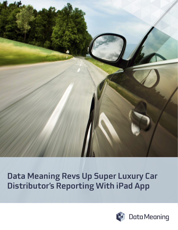

# Data Meaning Revs Up Super Luxury Car Distributor's Reporting With iPad App

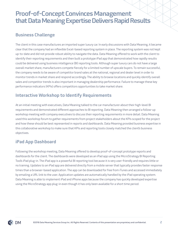## Proof-of-Concept Convinces Management that Data Meaning Expertise Delivers Rapid Results

#### Business Challenge

The client in this case manufactures an imported super luxury car. In early discussions with Data Meaning, it became clear that the company had an inflexible Excel-based reporting system in place. The reporting system was not kept up-to-date and did not provide robust ability to navigate the data. Data Meaning offered to work with the client to identify their reporting requirements and then built a prototype iPad app that demonstrated how rapidly results could be delivered using business intelligence (BI) reporting tools. Although super luxury cars do not have a large overall market share, manufacturers compete fiercely for a limited number of upscale buyers. To remain successful, the company needs to be aware of competitor brand sales at the national, regional and dealer level in order to monitor trends in market share and respond accordingly. The ability to browse locations and quickly identify overall sales and competitor trends is also important in managing dealership performance. Failure to manage these key performance indicators (KPIs) offers competitors opportunities to take market share.

#### Interactive Workshop to Identify Requirements

At an initial meeting with executives, Data Meaning talked to the car manufacturer about their high-level BI requirements and demonstrated different approaches to BI reporting. Data Meaning then arranged a follow-up workshop meeting with company executives to discuss their reporting requirements in more detail. Data Meaning used this workshop forum to gather requirements from project stakeholders about the KPIs scoped for the project and how these should be best represented in reports and dashboards. Data Meaning provided business expertise in this collaborative workshop to make sure that KPIs and reporting tools closely matched the client's business objectives.

#### iPad App Dashboard

Following the workshop meeting, Data Meaning offered to develop proof-of-concept prototype reports and dashboards for the client. The dashboards were developed as an iPad app using the MicroStrategy BI Reporting Tool's iPad plug-in. The iPad app is a powerful BI reporting tool because it is very user-friendly and requires little or no training. Updates to an iPad app are delivered directly from a mobile server that typically provides faster response times than a browser-based application. The app can be downloaded for free from iTunes and accessed immediately by emailing a URL link to the user. Application updates are automatically handled by the iPad operating system. Data Meaning is able to implement iPad and iPhone apps because the company has quickly developed expertise using the MicroStrategy app plug-in even though it has only been available for a short time period.

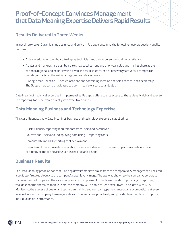## Proof-of-Concept Convinces Management that Data Meaning Expertise Delivers Rapid Results

#### Results Delivered in Three Weeks

In just three weeks, Data Meaning designed and built an iPad app containing the following near-production-quality features:

- A dealer education dashboard to display technician and dealer personnel-training statistics.
- A sales and market share dashboard to show total current and prior year sales and market share at the national, regional and dealer levels as well as actual sales for the prior seven years versus competitor brands (in charts) at the national, regional and dealer levels.
- A Google map linked to US dealer locations and containing location and sales data for each dealership. The Google map can be navigated to zoom in to view a particular dealer.

Data Meaning's technical expertise in implementing iPad apps offers clients access to these visually rich and easy to use reporting tools, delivered directly into executive's hands.

### Data Meaning Business and Technology Expertise

This case illustrates how Data Meaning's business and technology expertise is applied to:

- Quickly identify reporting requirements from users and executives.
- Educate end-users about displaying data using BI reporting tools.
- Demonstrate rapid BI reporting tool deployment.
- Show how BI tools make data available to users worldwide with minimal impact via a web interface or directly to mobile devices, such as the iPad and iPhone.

#### Business Results

The Data Meaning proof-of-concept iPad app drew immediate praise from the company's US management. The iPad "cool factor" related closely to the company's super luxury image. The app was shown to the company's corporate management in Europe and they are now planning to implement BI tools worldwide. By providing BI reporting tool dashboards directly to mobile users, the company will be able to keep executives up-to-date with KPIs. Monitoring the success of dealer and technician training and comparing performance against competitors at every level will allow the company to manage sales and market share proactively and provide clear direction to improve individual dealer performance.